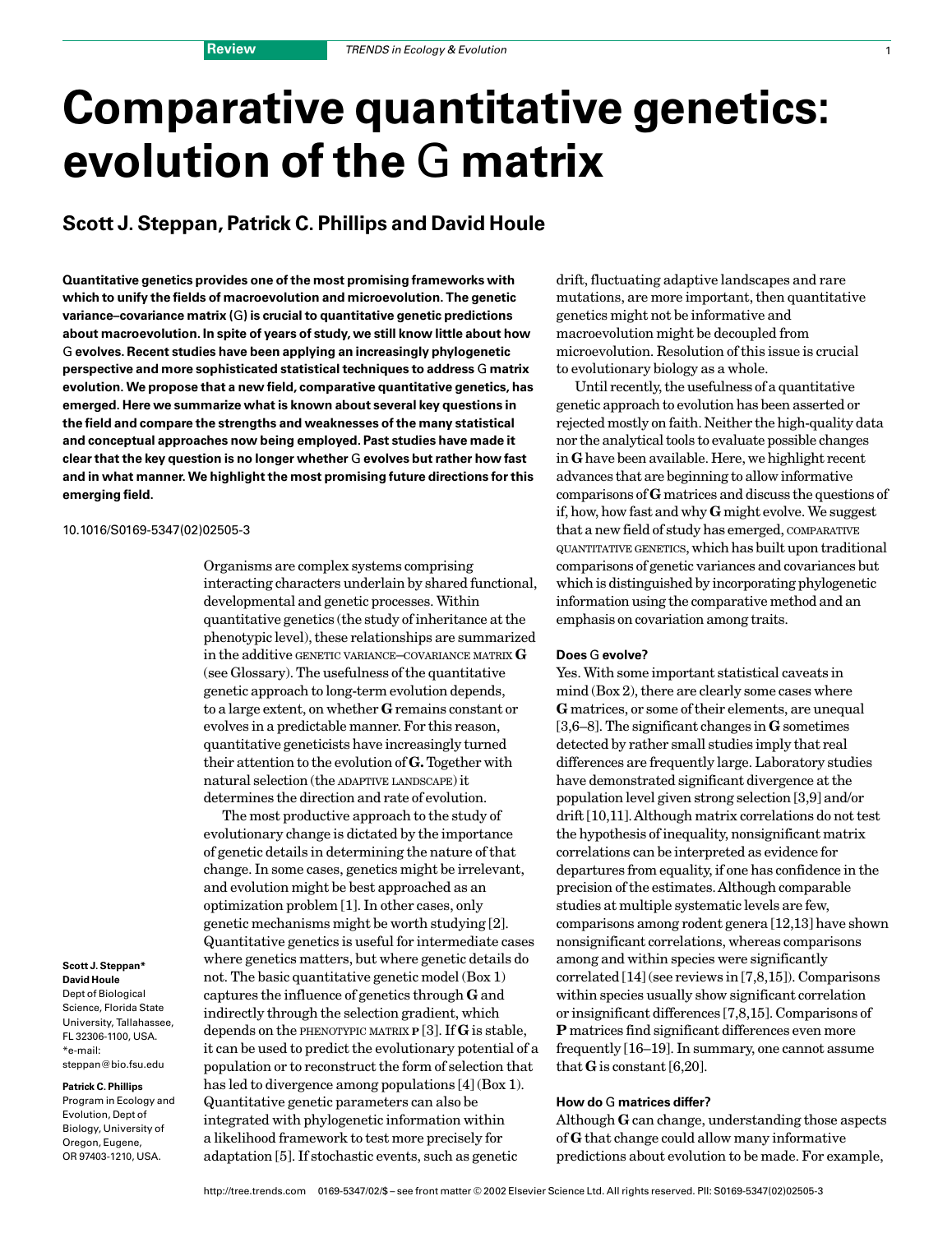# **Comparative quantitative genetics: evolution of the** G **matrix**

## **Scott J. Steppan, Patrick C. Phillips and David Houle**

**Quantitative genetics provides one of the most promising frameworks with which to unify the fields of macroevolution and microevolution. The genetic variance–covariance matrix (**G**) is crucial to quantitative genetic predictions about macroevolution. In spite of years of study, we still know little about how** G **evolves. Recent studies have been applying an increasingly phylogenetic perspective and more sophisticated statistical techniques to address** G **matrix evolution. We propose that a new field, comparative quantitative genetics, has emerged. Here we summarize what is known about several key questions in the field and compare the strengths and weaknesses of the many statistical and conceptual approaches now being employed. Past studies have made it clear that the key question is no longer whether** G **evolves but rather how fast and in what manner. We highlight the most promising future directions for this emerging field.**

#### 10.1016/S0169-5347(02)02505-3

Organisms are complex systems comprising interacting characters underlain by shared functional, developmental and genetic processes. Within quantitative genetics (the study of inheritance at the phenotypic level), these relationships are summarized in the additive GENETIC VARIANCE–COVARIANCE MATRIX **G** (see Glossary). The usefulness of the quantitative genetic approach to long-term evolution depends, to a large extent, on whether **G** remains constant or evolves in a predictable manner. For this reason, quantitative geneticists have increasingly turned their attention to the evolution of **G.** Together with natural selection (the ADAPTIVE LANDSCAPE) it determines the direction and rate of evolution.

The most productive approach to the study of evolutionary change is dictated by the importance of genetic details in determining the nature of that change. In some cases, genetics might be irrelevant, and evolution might be best approached as an optimization problem [1]. In other cases, only genetic mechanisms might be worth studying [2]. Quantitative genetics is useful for intermediate cases where genetics matters, but where genetic details do not. The basic quantitative genetic model (Box 1) captures the influence of genetics through **G** and indirectly through the selection gradient, which depends on the PHENOTYPIC MATRIX **<sup>P</sup>** [3]. If **G** is stable, it can be used to predict the evolutionary potential of a population or to reconstruct the form of selection that has led to divergence among populations [4] (Box 1). Quantitative genetic parameters can also be integrated with phylogenetic information within a likelihood framework to test more precisely for adaptation [5]. If stochastic events, such as genetic

drift, fluctuating adaptive landscapes and rare mutations, are more important, then quantitative genetics might not be informative and macroevolution might be decoupled from microevolution. Resolution of this issue is crucial to evolutionary biology as a whole.

Until recently, the usefulness of a quantitative genetic approach to evolution has been asserted or rejected mostly on faith. Neither the high-quality data nor the analytical tools to evaluate possible changes in **G** have been available. Here, we highlight recent advances that are beginning to allow informative comparisons of **G** matrices and discuss the questions of if, how, how fast and why **G** might evolve. We suggest that a new field of study has emerged, COMPARATIVE QUANTITATIVE GENETICS, which has built upon traditional comparisons of genetic variances and covariances but which is distinguished by incorporating phylogenetic information using the comparative method and an emphasis on covariation among traits.

#### **Does** G **evolve?**

Yes. With some important statistical caveats in mind (Box 2), there are clearly some cases where **G** matrices, or some of their elements, are unequal [3,6–8]. The significant changes in **G** sometimes detected by rather small studies imply that real differences are frequently large. Laboratory studies have demonstrated significant divergence at the population level given strong selection [3,9] and/or drift [10,11].Although matrix correlations do not test the hypothesis of inequality, nonsignificant matrix correlations can be interpreted as evidence for departures from equality, if one has confidence in the precision of the estimates.Although comparable studies at multiple systematic levels are few, comparisons among rodent genera [12,13] have shown nonsignificant correlations, whereas comparisons among and within species were significantly correlated [14] (see reviews in [7,8,15]). Comparisons within species usually show significant correlation or insignificant differences [7,8,15]. Comparisons of **P** matrices find significant differences even more frequently [16–19]. In summary, one cannot assume that **G** is constant [6,20].

### **How do** G **matrices differ?**

Although **G** can change, understanding those aspects of **G** that change could allow many informative predictions about evolution to be made. For example,

#### **Scott J. Steppan\* David Houle** Dept of Biological Science, Florida State

University, Tallahassee, FL 32306-1100, USA. \*e-mail: steppan@bio.fsu.edu

**Patrick C. Phillips**

Program in Ecology and Evolution, Dept of Biology, University of Oregon, Eugene, OR 97403-1210, USA.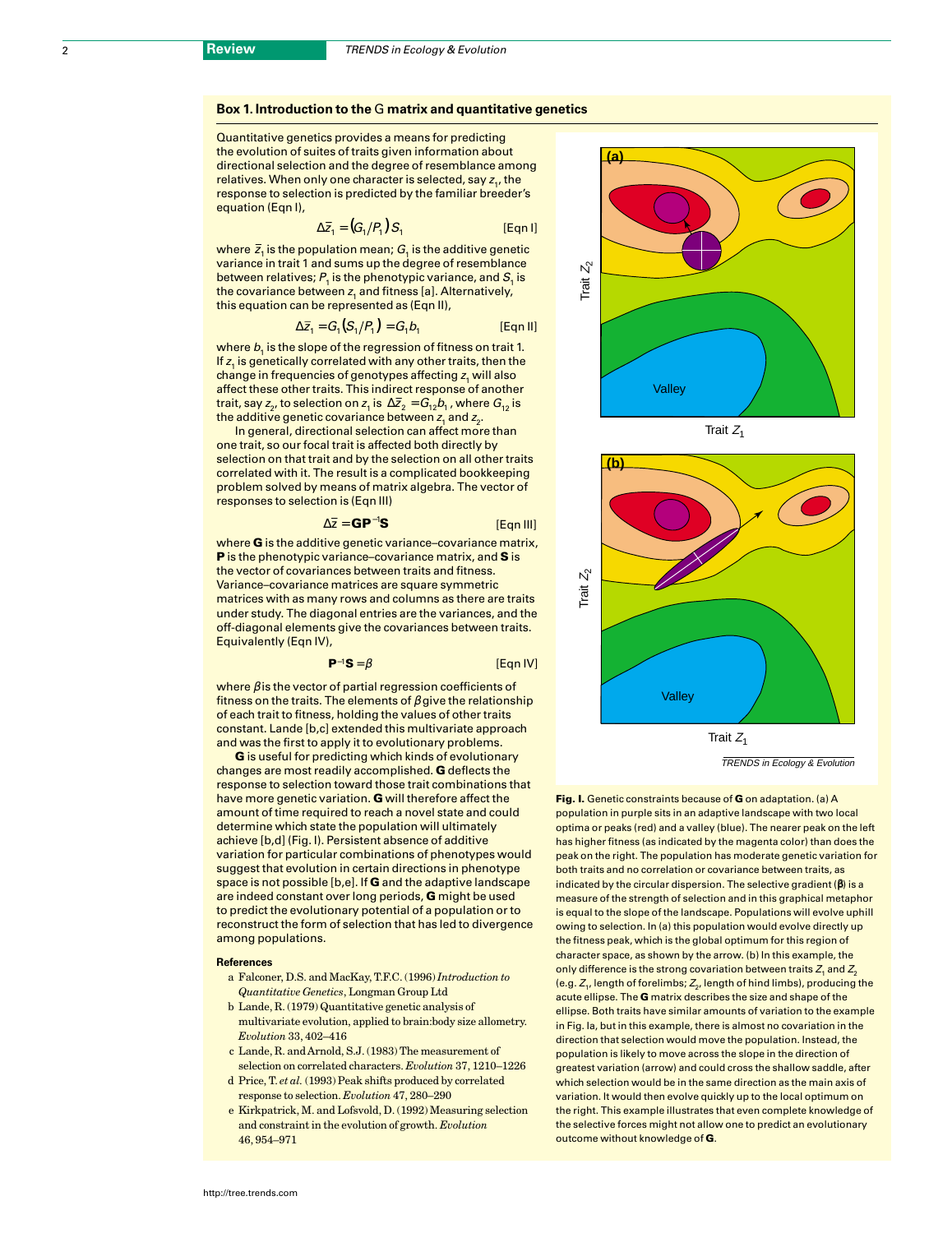#### **Box 1. Introduction to the** G **matrix and quantitative genetics**

Quantitative genetics provides a means for predicting the evolution of suites of traits given information about directional selection and the degree of resemblance among relatives. When only one character is selected, say  $z_1$ , the response to selection is predicted by the familiar breeder's equation (Eqn I),

$$
\Delta \overline{z}_1 = (G_1/P_1) S_1
$$
 [Eqn 1]

where  $\bar{z}_{\scriptscriptstyle 1}$  is the population mean;  $G_{\scriptscriptstyle 1}$  is the additive genetic variance in trait 1 and sums up the degree of resemblance between relatives;  $P_1$  is the phenotypic variance, and  $S_1$  is the covariance between z, and fitness [a]. Alternatively, this equation can be represented as (Eqn II),

$$
\Delta \overline{z}_1 = G_1(S_1/P_1) = G_1 b_1
$$
 [Eqn II]

where  $b_1$  is the slope of the regression of fitness on trait 1. If  $z<sub>1</sub>$  is genetically correlated with any other traits, then the change in frequencies of genotypes affecting  $z<sub>1</sub>$  will also affect these other traits. This indirect response of another trait, say  $z_{_2}$ , to selection on  $z_{_1}$  is  $\,\Delta\overline{z}_{_2}=G_{_{12}}b_{_1}$  , where  $G_{_{12}}$  is the additive genetic covariance between  $z_1$  and  $z_2$ .

In general, directional selection can affect more than one trait, so our focal trait is affected both directly by selection on that trait and by the selection on all other traits correlated with it. The result is a complicated bookkeeping problem solved by means of matrix algebra. The vector of responses to selection is (Eqn III)

$$
\Delta \overline{z} = GP^{-1}S
$$
 [Eqn III]

where **G** is the additive genetic variance–covariance matrix, **P** is the phenotypic variance–covariance matrix, and **S** is the vector of covariances between traits and fitness. Variance–covariance matrices are square symmetric matrices with as many rows and columns as there are traits under study. The diagonal entries are the variances, and the off-diagonal elements give the covariances between traits. Equivalently (Eqn IV),

$$
\mathbf{P}^{-1}\mathbf{S} = \beta \tag{Eqn IV}
$$

where  $\beta$  is the vector of partial regression coefficients of fitness on the traits. The elements of  $\beta$  give the relationship of each trait to fitness, holding the values of other traits constant. Lande [b,c] extended this multivariate approach and was the first to apply it to evolutionary problems.

**G** is useful for predicting which kinds of evolutionary changes are most readily accomplished. **G** deflects the response to selection toward those trait combinations that have more genetic variation. **G** will therefore affect the amount of time required to reach a novel state and could determine which state the population will ultimately achieve [b,d] (Fig. I). Persistent absence of additive variation for particular combinations of phenotypes would suggest that evolution in certain directions in phenotype space is not possible [b,e]. If **G** and the adaptive landscape are indeed constant over long periods, **G** might be used to predict the evolutionary potential of a population or to reconstruct the form of selection that has led to divergence among populations.

#### **References**

- a Falconer, D.S. and MacKay, T.F.C. (1996) *Introduction to Quantitative Genetics*, Longman Group Ltd
- b Lande, R. (1979) Quantitative genetic analysis of multivariate evolution, applied to brain:body size allometry. *Evolution* 33, 402–416
- c Lande, R. andArnold, S.J. (1983) The measurement of selection on correlated characters. *Evolution* 37, 1210–1226
- d Price, T. *et al.* (1993) Peak shifts produced by correlated response to selection. *Evolution* 47, 280–290
- e Kirkpatrick, M. and Lofsvold, D. (1992) Measuring selection and constraint in the evolution of growth. *Evolution* 46, 954–971







TRENDS in Ecology & Evolution

**Fig. I.** Genetic constraints because of **G** on adaptation. (a) A population in purple sits in an adaptive landscape with two local optima or peaks (red) and a valley (blue). The nearer peak on the left has higher fitness (as indicated by the magenta color) than does the peak on the right. The population has moderate genetic variation for both traits and no correlation or covariance between traits, as indicated by the circular dispersion. The selective gradient (β) is a measure of the strength of selection and in this graphical metaphor is equal to the slope of the landscape. Populations will evolve uphill owing to selection. In (a) this population would evolve directly up the fitness peak, which is the global optimum for this region of character space, as shown by the arrow. (b) In this example, the only difference is the strong covariation between traits  $Z_1$  and  $Z_2$ (e.g.  $Z_1$ , length of forelimbs;  $Z_2$ , length of hind limbs), producing the acute ellipse. The **G** matrix describes the size and shape of the ellipse. Both traits have similar amounts of variation to the example in Fig. Ia, but in this example, there is almost no covariation in the direction that selection would move the population. Instead, the population is likely to move across the slope in the direction of greatest variation (arrow) and could cross the shallow saddle, after which selection would be in the same direction as the main axis of variation. It would then evolve quickly up to the local optimum on the right. This example illustrates that even complete knowledge of the selective forces might not allow one to predict an evolutionary outcome without knowledge of **G**.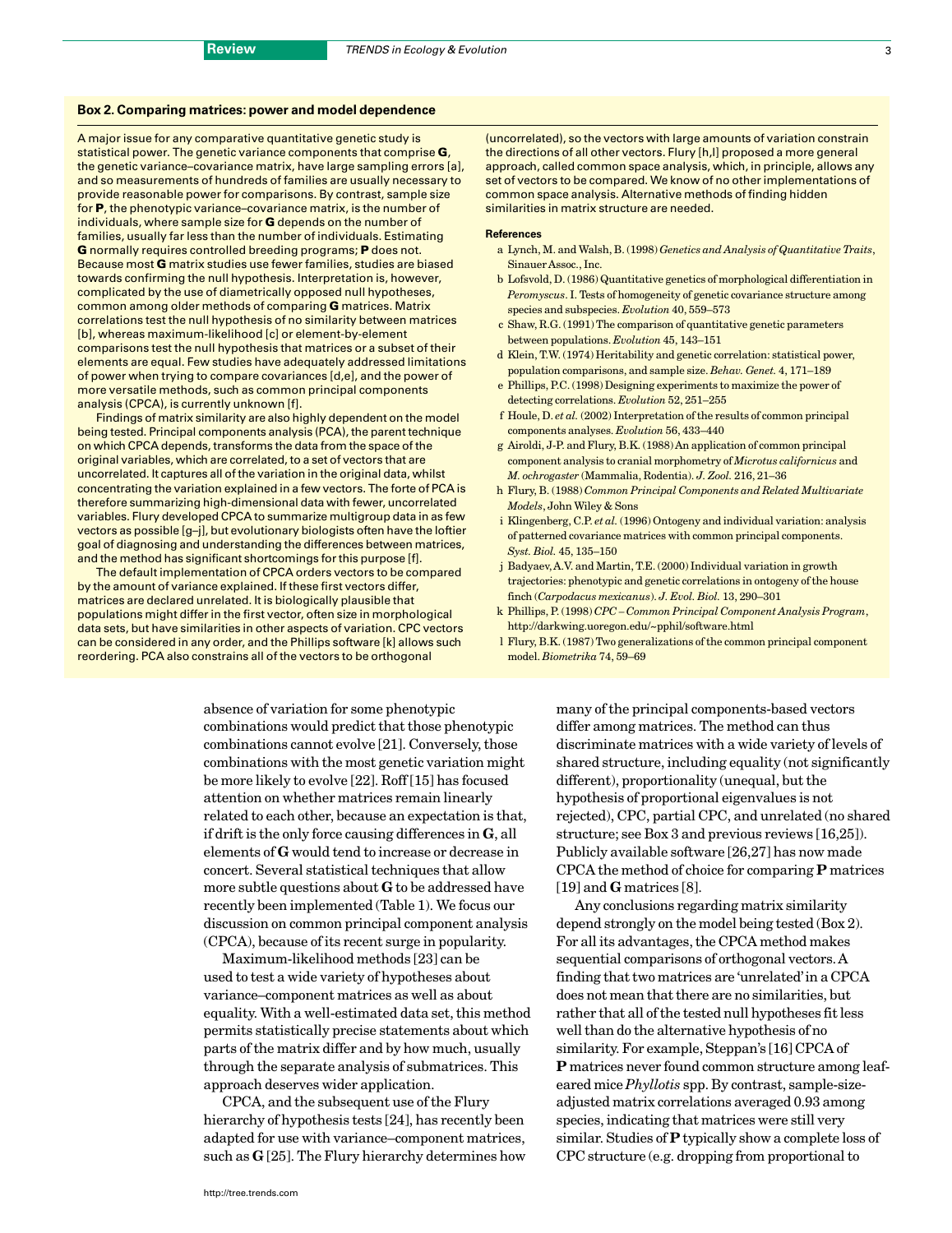#### **Box 2. Comparing matrices: power and model dependence**

A major issue for any comparative quantitative genetic study is statistical power. The genetic variance components that comprise **G**, the genetic variance–covariance matrix, have large sampling errors [a], and so measurements of hundreds of families are usually necessary to provide reasonable power for comparisons. By contrast, sample size for **P**, the phenotypic variance–covariance matrix, is the number of individuals, where sample size for **G** depends on the number of families, usually far less than the number of individuals. Estimating **G** normally requires controlled breeding programs; **P** does not. Because most **G** matrix studies use fewer families, studies are biased towards confirming the null hypothesis. Interpretation is, however, complicated by the use of diametrically opposed null hypotheses, common among older methods of comparing **G** matrices. Matrix correlations test the null hypothesis of no similarity between matrices [b], whereas maximum-likelihood [c] or element-by-element comparisons test the null hypothesis that matrices or a subset of their elements are equal. Few studies have adequately addressed limitations of power when trying to compare covariances [d,e], and the power of more versatile methods, such as common principal components analysis (CPCA), is currently unknown [f].

Findings of matrix similarity are also highly dependent on the model being tested. Principal components analysis (PCA), the parent technique on which CPCA depends, transforms the data from the space of the original variables, which are correlated, to a set of vectors that are uncorrelated. It captures all of the variation in the original data, whilst concentrating the variation explained in a few vectors. The forte of PCA is therefore summarizing high-dimensional data with fewer, uncorrelated variables. Flury developed CPCA to summarize multigroup data in as few vectors as possible [g–j], but evolutionary biologists often have the loftier goal of diagnosing and understanding the differences between matrices, and the method has significant shortcomings for this purpose [f].

The default implementation of CPCA orders vectors to be compared by the amount of variance explained. If these first vectors differ, matrices are declared unrelated. It is biologically plausible that populations might differ in the first vector, often size in morphological data sets, but have similarities in other aspects of variation. CPC vectors can be considered in any order, and the Phillips software [k] allows such reordering. PCA also constrains all of the vectors to be orthogonal

(uncorrelated), so the vectors with large amounts of variation constrain the directions of all other vectors. Flury [h,l] proposed a more general approach, called common space analysis, which, in principle, allows any set of vectors to be compared. We know of no other implementations of common space analysis. Alternative methods of finding hidden similarities in matrix structure are needed.

#### **References**

- a Lynch, M. and Walsh, B. (1998) *Genetics and Analysis of Quantitative Traits*, Sinauer Assoc., Inc.
- b Lofsvold, D. (1986) Quantitative genetics of morphological differentiation in *Peromyscus*. I. Tests of homogeneity of genetic covariance structure among species and subspecies. *Evolution* 40, 559–573
- c Shaw, R.G. (1991) The comparison of quantitative genetic parameters between populations. *Evolution* 45, 143–151
- d Klein, T.W. (1974) Heritability and genetic correlation: statistical power, population comparisons, and sample size. *Behav. Genet.* 4, 171–189
- e Phillips, P.C. (1998) Designing experiments to maximize the power of detecting correlations. *Evolution* 52, 251–255
- f Houle, D. *et al.* (2002) Interpretation of the results of common principal components analyses. *Evolution* 56, 433–440
- g Airoldi, J-P. and Flury, B.K. (1988)An application of common principal component analysis to cranial morphometry of *Microtus californicus* and *M. ochrogaster* (Mammalia, Rodentia). *J. Zool.* 216, 21–36
- h Flury, B. (1988) *Common Principal Components and Related Multivariate Models*, John Wiley & Sons
- i Klingenberg, C.P. *et al.* (1996) Ontogeny and individual variation: analysis of patterned covariance matrices with common principal components. *Syst. Biol.* 45, 135–150
- j Badyaev,A.V. and Martin, T.E. (2000) Individual variation in growth trajectories: phenotypic and genetic correlations in ontogeny of the house finch (*Carpodacus mexicanus*). *J. Evol. Biol.* 13, 290–301
- k Phillips, P. (1998) *CPC Common Principal Component Analysis Program*, http://darkwing.uoregon.edu/~pphil/software.html
- l Flury, B.K. (1987) Two generalizations of the common principal component model. *Biometrika* 74, 59–69

absence of variation for some phenotypic combinations would predict that those phenotypic combinations cannot evolve [21]. Conversely, those combinations with the most genetic variation might be more likely to evolve [22]. Roff [15] has focused attention on whether matrices remain linearly related to each other, because an expectation is that, if drift is the only force causing differences in **G**, all elements of **G** would tend to increase or decrease in concert. Several statistical techniques that allow more subtle questions about **G** to be addressed have recently been implemented (Table 1). We focus our discussion on common principal component analysis (CPCA), because of its recent surge in popularity.

Maximum-likelihood methods [23] can be used to test a wide variety of hypotheses about variance–component matrices as well as about equality. With a well-estimated data set, this method permits statistically precise statements about which parts of the matrix differ and by how much, usually through the separate analysis of submatrices. This approach deserves wider application.

CPCA, and the subsequent use of the Flury hierarchy of hypothesis tests [24], has recently been adapted for use with variance–component matrices, such as **G** [25]. The Flury hierarchy determines how many of the principal components-based vectors differ among matrices. The method can thus discriminate matrices with a wide variety of levels of shared structure, including equality (not significantly different), proportionality (unequal, but the hypothesis of proportional eigenvalues is not rejected), CPC, partial CPC, and unrelated (no shared structure; see Box 3 and previous reviews [16,25]). Publicly available software [26,27] has now made CPCA the method of choice for comparing **P** matrices [19] and **G** matrices [8].

Any conclusions regarding matrix similarity depend strongly on the model being tested (Box 2). For all its advantages, the CPCA method makes sequential comparisons of orthogonal vectors.A finding that two matrices are 'unrelated'in a CPCA does not mean that there are no similarities, but rather that all of the tested null hypotheses fit less well than do the alternative hypothesis of no similarity. For example, Steppan's [16] CPCA of **P** matrices never found common structure among leafeared mice *Phyllotis* spp. By contrast, sample-sizeadjusted matrix correlations averaged 0.93 among species, indicating that matrices were still very similar. Studies of **P** typically show a complete loss of CPC structure (e.g. dropping from proportional to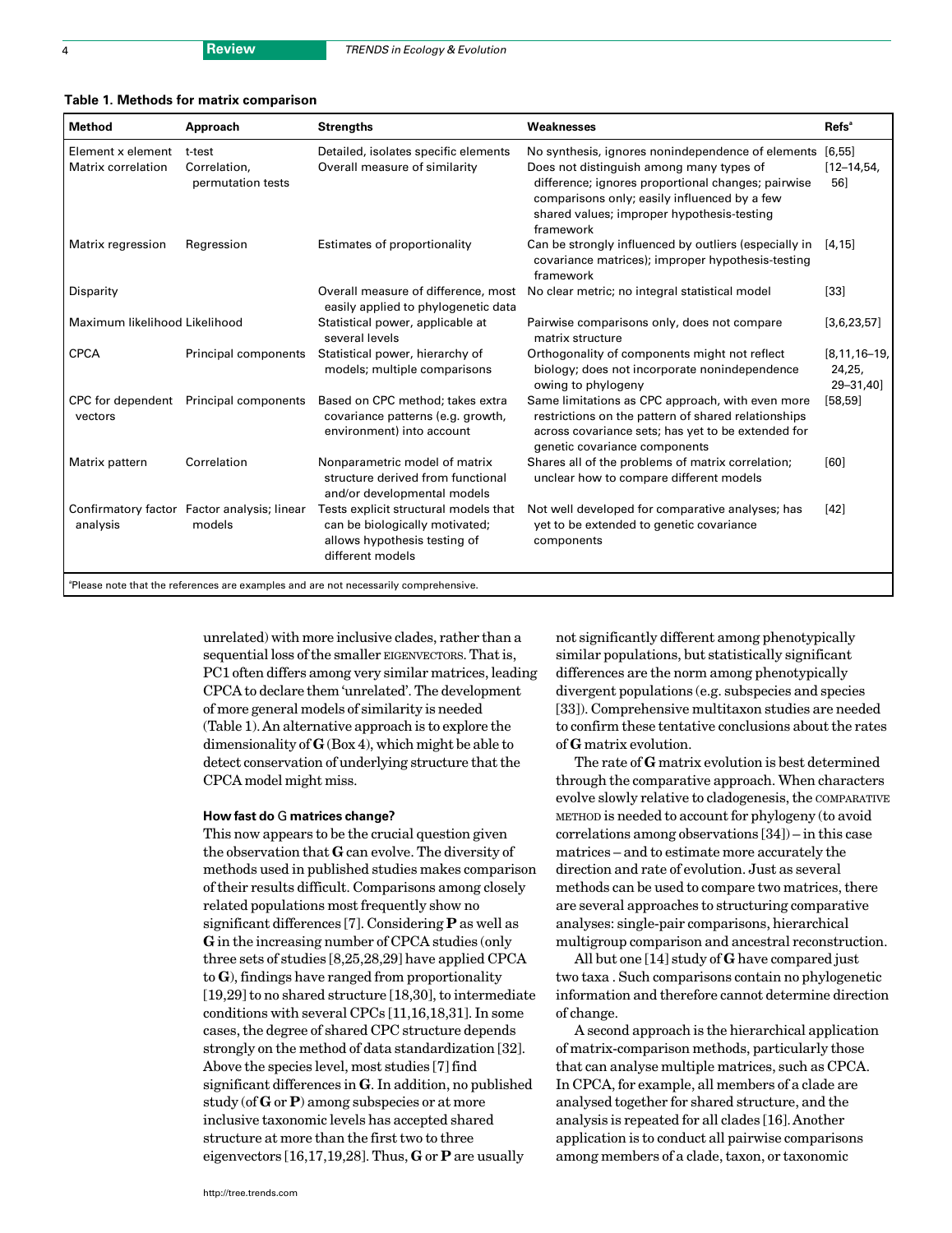#### **Table 1. Methods for matrix comparison**

| <b>Method</b>                                  | Approach                                              | <b>Strengths</b>                                                                                                            | <b>Weaknesses</b>                                                                                                                                                                                                                                              | Refs <sup>ª</sup>                         |
|------------------------------------------------|-------------------------------------------------------|-----------------------------------------------------------------------------------------------------------------------------|----------------------------------------------------------------------------------------------------------------------------------------------------------------------------------------------------------------------------------------------------------------|-------------------------------------------|
| Element x element<br><b>Matrix correlation</b> | t-test<br>Correlation,<br>permutation tests           | Detailed, isolates specific elements<br>Overall measure of similarity                                                       | No synthesis, ignores nonindependence of elements<br>Does not distinguish among many types of<br>difference; ignores proportional changes; pairwise<br>comparisons only; easily influenced by a few<br>shared values; improper hypothesis-testing<br>framework | [6, 55]<br>$[12 - 14, 54,$<br>56]         |
| Matrix regression                              | Regression                                            | Estimates of proportionality                                                                                                | Can be strongly influenced by outliers (especially in<br>covariance matrices); improper hypothesis-testing<br>framework                                                                                                                                        | [4, 15]                                   |
| Disparity                                      |                                                       | Overall measure of difference, most<br>easily applied to phylogenetic data                                                  | No clear metric; no integral statistical model                                                                                                                                                                                                                 | $[33]$                                    |
| Maximum likelihood Likelihood                  |                                                       | Statistical power, applicable at<br>several levels                                                                          | Pairwise comparisons only, does not compare<br>matrix structure                                                                                                                                                                                                | [3,6,23,57]                               |
| <b>CPCA</b>                                    | Principal components                                  | Statistical power, hierarchy of<br>models; multiple comparisons                                                             | Orthogonality of components might not reflect<br>biology; does not incorporate nonindependence<br>owing to phylogeny                                                                                                                                           | $[8, 11, 16 - 19,$<br>24,25,<br>29-31,40] |
| CPC for dependent<br>vectors                   | Principal components                                  | Based on CPC method; takes extra<br>covariance patterns (e.g. growth,<br>environment) into account                          | Same limitations as CPC approach, with even more<br>restrictions on the pattern of shared relationships<br>across covariance sets; has yet to be extended for<br>genetic covariance components                                                                 | [58, 59]                                  |
| Matrix pattern                                 | Correlation                                           | Nonparametric model of matrix<br>structure derived from functional<br>and/or developmental models                           | Shares all of the problems of matrix correlation;<br>unclear how to compare different models                                                                                                                                                                   | [60]                                      |
| analysis                                       | Confirmatory factor Factor analysis; linear<br>models | Tests explicit structural models that<br>can be biologically motivated;<br>allows hypothesis testing of<br>different models | Not well developed for comparative analyses; has<br>yet to be extended to genetic covariance<br>components                                                                                                                                                     | $[42]$                                    |

<sup>a</sup>Please note that the references are examples and are not necessarily comprehensive.

unrelated) with more inclusive clades, rather than a sequential loss of the smaller EIGENVECTORS. That is, PC1 often differs among very similar matrices, leading CPCA to declare them 'unrelated'. The development of more general models of similarity is needed (Table 1).An alternative approach is to explore the dimensionality of **G** (Box 4), which might be able to detect conservation of underlying structure that the CPCA model might miss.

#### **How fast do** G **matrices change?**

This now appears to be the crucial question given the observation that **G** can evolve. The diversity of methods used in published studies makes comparison of their results difficult. Comparisons among closely related populations most frequently show no significant differences [7]. Considering **P** as well as **G** in the increasing number of CPCA studies (only three sets of studies [8,25,28,29] have applied CPCA to **G**), findings have ranged from proportionality [19,29] to no shared structure [18,30], to intermediate conditions with several CPCs [11,16,18,31]. In some cases, the degree of shared CPC structure depends strongly on the method of data standardization [32]. Above the species level, most studies [7] find significant differences in **G**. In addition, no published study (of **G** or **P**) among subspecies or at more inclusive taxonomic levels has accepted shared structure at more than the first two to three eigenvectors [16,17,19,28]. Thus, **G** or **P** are usually

not significantly different among phenotypically similar populations, but statistically significant differences are the norm among phenotypically divergent populations (e.g. subspecies and species [33]). Comprehensive multitaxon studies are needed to confirm these tentative conclusions about the rates of **G** matrix evolution.

The rate of **G** matrix evolution is best determined through the comparative approach. When characters evolve slowly relative to cladogenesis, the COMPARATIVE METHOD is needed to account for phylogeny (to avoid correlations among observations [34]) – in this case matrices – and to estimate more accurately the direction and rate of evolution. Just as several methods can be used to compare two matrices, there are several approaches to structuring comparative analyses: single-pair comparisons, hierarchical multigroup comparison and ancestral reconstruction.

All but one [14] study of **G** have compared just two taxa . Such comparisons contain no phylogenetic information and therefore cannot determine direction of change.

A second approach is the hierarchical application of matrix-comparison methods, particularly those that can analyse multiple matrices, such as CPCA. In CPCA, for example, all members of a clade are analysed together for shared structure, and the analysis is repeated for all clades [16].Another application is to conduct all pairwise comparisons among members of a clade, taxon, or taxonomic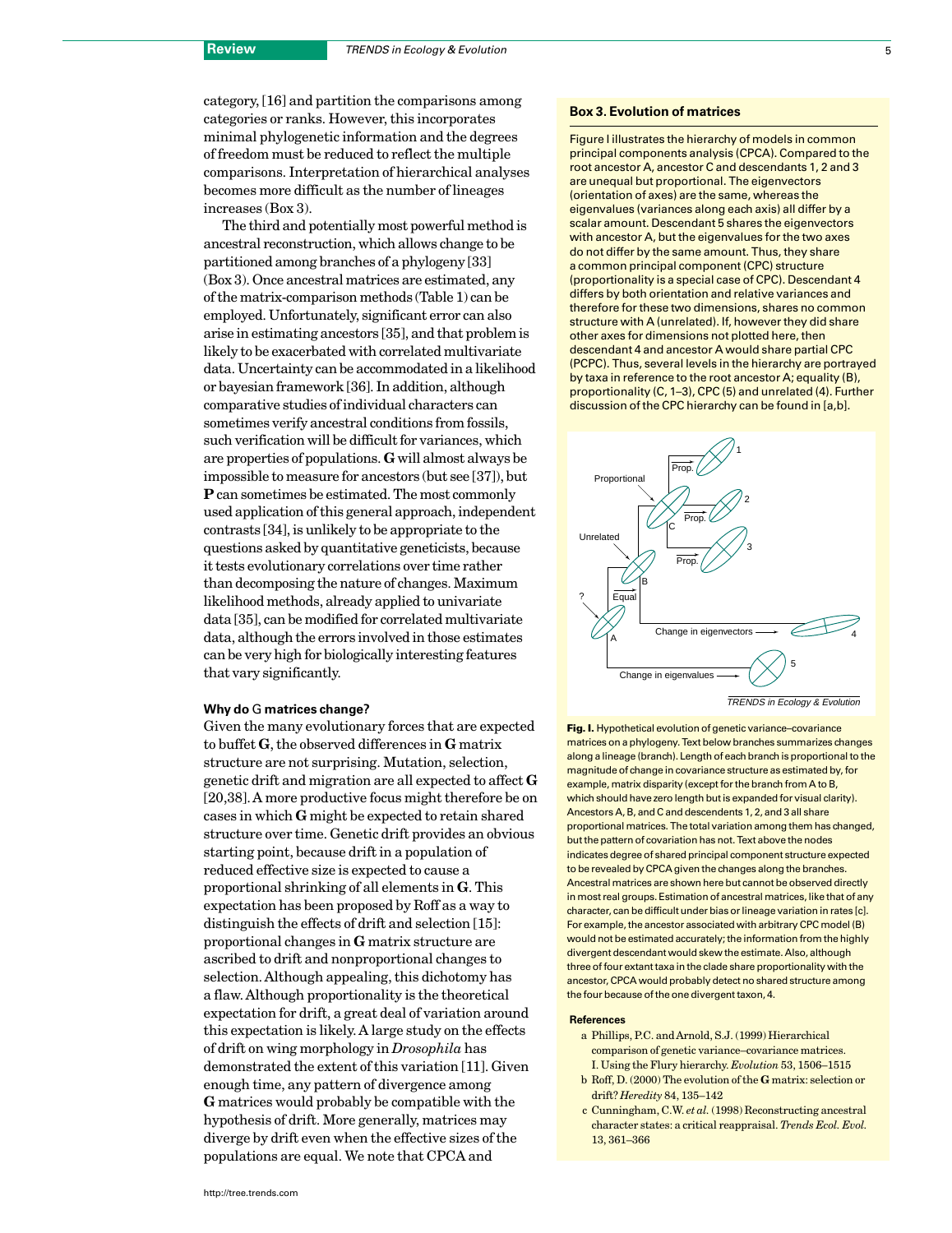category, [16] and partition the comparisons among categories or ranks. However, this incorporates minimal phylogenetic information and the degrees of freedom must be reduced to reflect the multiple comparisons. Interpretation of hierarchical analyses becomes more difficult as the number of lineages increases (Box 3).

The third and potentially most powerful method is ancestral reconstruction, which allows change to be partitioned among branches of a phylogeny [33] (Box 3). Once ancestral matrices are estimated, any of the matrix-comparison methods (Table 1) can be employed. Unfortunately, significant error can also arise in estimating ancestors [35], and that problem is likely to be exacerbated with correlated multivariate data. Uncertainty can be accommodated in a likelihood or bayesian framework [36]. In addition, although comparative studies of individual characters can sometimes verify ancestral conditions from fossils, such verification will be difficult for variances, which are properties of populations. **G** will almost always be impossible to measure for ancestors (but see [37]), but **P** can sometimes be estimated. The most commonly used application of this general approach, independent contrasts [34], is unlikely to be appropriate to the questions asked by quantitative geneticists, because it tests evolutionary correlations over time rather than decomposing the nature of changes. Maximum likelihood methods, already applied to univariate data [35], can be modified for correlated multivariate data, although the errors involved in those estimates can be very high for biologically interesting features that vary significantly.

#### **Why do** G **matrices change?**

Given the many evolutionary forces that are expected to buffet **G**, the observed differences in **G** matrix structure are not surprising. Mutation, selection, genetic drift and migration are all expected to affect **G** [20,38].A more productive focus might therefore be on cases in which **G** might be expected to retain shared structure over time. Genetic drift provides an obvious starting point, because drift in a population of reduced effective size is expected to cause a proportional shrinking of all elements in **G**. This expectation has been proposed by Roff as a way to distinguish the effects of drift and selection [15]: proportional changes in **G** matrix structure are ascribed to drift and nonproportional changes to selection.Although appealing, this dichotomy has a flaw.Although proportionality is the theoretical expectation for drift, a great deal of variation around this expectation is likely.A large study on the effects of drift on wing morphology in *Drosophila* has demonstrated the extent of this variation [11]. Given enough time, any pattern of divergence among **G** matrices would probably be compatible with the hypothesis of drift. More generally, matrices may diverge by drift even when the effective sizes of the populations are equal. We note that CPCA and

#### **Box 3. Evolution of matrices**

Figure I illustrates the hierarchy of models in common principal components analysis (CPCA). Compared to the root ancestor A, ancestor C and descendants 1, 2 and 3 are unequal but proportional. The eigenvectors (orientation of axes) are the same, whereas the eigenvalues (variances along each axis) all differ by a scalar amount. Descendant 5 shares the eigenvectors with ancestor A, but the eigenvalues for the two axes do not differ by the same amount. Thus, they share a common principal component (CPC) structure (proportionality is a special case of CPC). Descendant 4 differs by both orientation and relative variances and therefore for these two dimensions, shares no common structure with A (unrelated). If, however they did share other axes for dimensions not plotted here, then descendant 4 and ancestor A would share partial CPC (PCPC). Thus, several levels in the hierarchy are portrayed by taxa in reference to the root ancestor A; equality (B), proportionality (C, 1–3), CPC (5) and unrelated (4). Further discussion of the CPC hierarchy can be found in [a,b].



**Fig. I.** Hypothetical evolution of genetic variance–covariance matrices on a phylogeny. Text below branches summarizes changes along a lineage (branch). Length of each branch is proportional to the magnitude of change in covariance structure as estimated by, for example, matrix disparity (except for the branch from A to B, which should have zero length but is expanded for visual clarity). Ancestors A, B, and C and descendents 1, 2, and 3 all share proportional matrices. The total variation among them has changed, but the pattern of covariation has not. Text above the nodes indicates degree of shared principal component structure expected to be revealed by CPCA given the changes along the branches. Ancestral matrices are shown here but cannot be observed directly in most real groups. Estimation of ancestral matrices, like that of any character, can be difficult under bias or lineage variation in rates [c]. For example, the ancestor associated with arbitrary CPC model (B) would not be estimated accurately; the information from the highly divergent descendant would skew the estimate. Also, although three of four extant taxa in the clade share proportionality with the ancestor, CPCA would probably detect no shared structure among the four because of the one divergent taxon, 4.

#### **References**

- a Phillips, P.C. andArnold, S.J. (1999) Hierarchical comparison of genetic variance–covariance matrices. I. Using the Flury hierarchy. *Evolution* 53, 1506–1515
- b Roff, D. (2000) The evolution of the **G** matrix: selection or drift? *Heredity* 84, 135–142
- c Cunningham, C.W. *et al.* (1998) Reconstructing ancestral character states: a critical reappraisal. *Trends Ecol. Evol.* 13, 361–366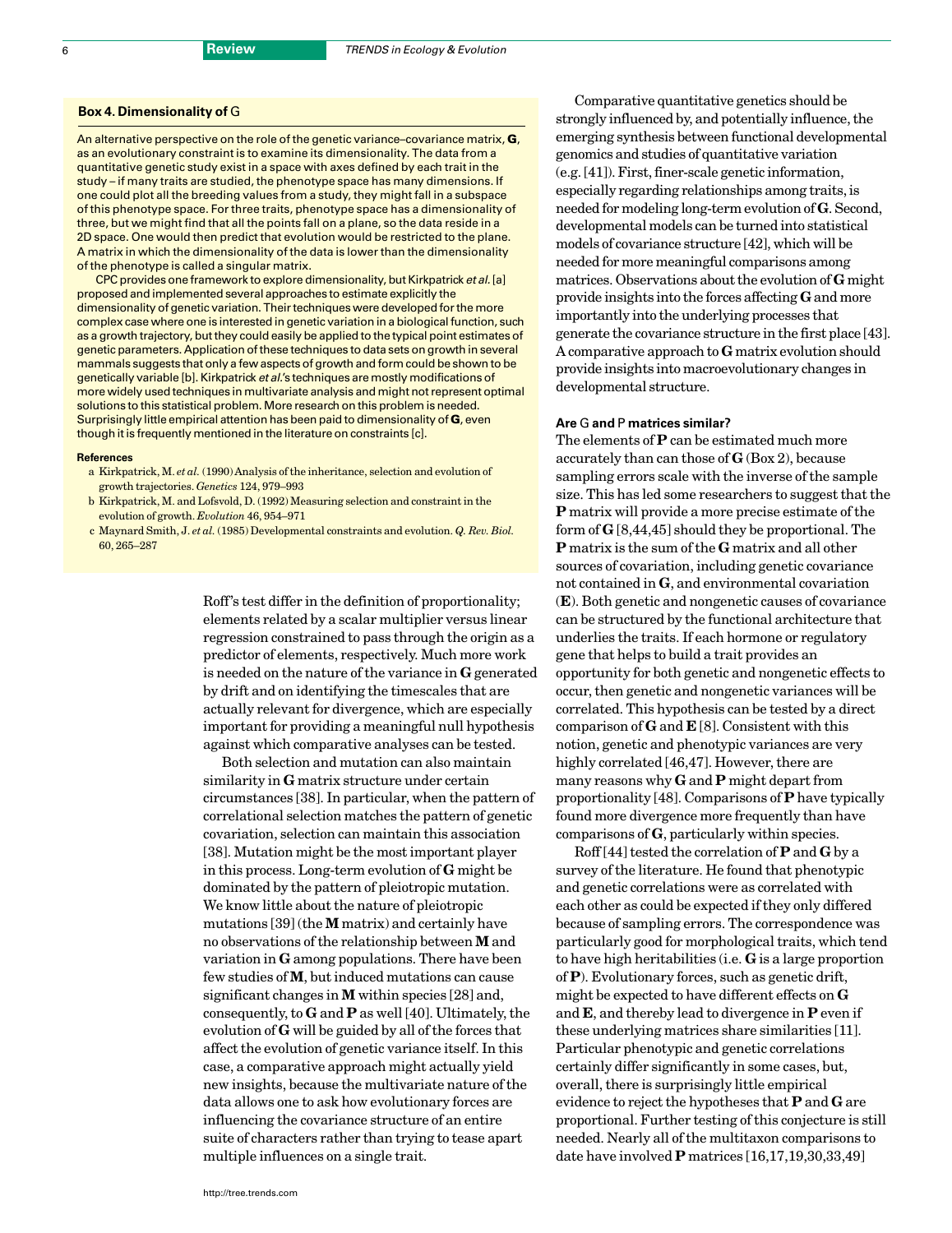#### **Box 4. Dimensionality of** G

An alternative perspective on the role of the genetic variance–covariance matrix, **G**, as an evolutionary constraint is to examine its dimensionality. The data from a quantitative genetic study exist in a space with axes defined by each trait in the study – if many traits are studied, the phenotype space has many dimensions. If one could plot all the breeding values from a study, they might fall in a subspace of this phenotype space. For three traits, phenotype space has a dimensionality of three, but we might find that all the points fall on a plane, so the data reside in a 2D space. One would then predict that evolution would be restricted to the plane. A matrix in which the dimensionality of the data is lower than the dimensionality of the phenotype is called a singular matrix.

CPC provides one framework to explore dimensionality, but Kirkpatrick et al.[a] proposed and implemented several approaches to estimate explicitly the dimensionality of genetic variation. Their techniques were developed for the more complex case where one is interested in genetic variation in a biological function, such as a growth trajectory, but they could easily be applied to the typical point estimates of genetic parameters. Application of these techniques to data sets on growth in several mammals suggests that only a few aspects of growth and form could be shown to be genetically variable [b]. Kirkpatrick et al.'s techniques are mostly modifications of more widely used techniques in multivariate analysis and might not represent optimal solutions to this statistical problem. More research on this problem is needed. Surprisingly little empirical attention has been paid to dimensionality of **G**, even though it is frequently mentioned in the literature on constraints [c].

#### **References**

- a Kirkpatrick, M. *et al.* (1990) Analysis of the inheritance, selection and evolution of growth trajectories. *Genetics* 124, 979–993
- b Kirkpatrick, M. and Lofsvold, D. (1992) Measuring selection and constraint in the evolution of growth. *Evolution* 46, 954–971
- c Maynard Smith, J. *et al.* (1985) Developmental constraints and evolution. *Q. Rev. Biol.* 60, 265–287

Roff's test differ in the definition of proportionality; elements related by a scalar multiplier versus linear regression constrained to pass through the origin as a predictor of elements, respectively. Much more work is needed on the nature of the variance in **G** generated by drift and on identifying the timescales that are actually relevant for divergence, which are especially important for providing a meaningful null hypothesis against which comparative analyses can be tested.

Both selection and mutation can also maintain similarity in **G** matrix structure under certain circumstances [38]. In particular, when the pattern of correlational selection matches the pattern of genetic covariation, selection can maintain this association [38]. Mutation might be the most important player in this process. Long-term evolution of **G** might be dominated by the pattern of pleiotropic mutation. We know little about the nature of pleiotropic mutations [39] (the **M** matrix) and certainly have no observations of the relationship between **M** and variation in **G** among populations. There have been few studies of **M**, but induced mutations can cause significant changes in **M** within species [28] and, consequently, to **G** and **P** as well [40]. Ultimately, the evolution of **G** will be guided by all of the forces that affect the evolution of genetic variance itself. In this case, a comparative approach might actually yield new insights, because the multivariate nature of the data allows one to ask how evolutionary forces are influencing the covariance structure of an entire suite of characters rather than trying to tease apart multiple influences on a single trait.

Comparative quantitative genetics should be strongly influenced by, and potentially influence, the emerging synthesis between functional developmental genomics and studies of quantitative variation (e.g. [41]). First, finer-scale genetic information, especially regarding relationships among traits, is needed for modeling long-term evolution of **G**. Second, developmental models can be turned into statistical models of covariance structure [42], which will be needed for more meaningful comparisons among matrices. Observations about the evolution of **G** might provide insights into the forces affecting **G** and more importantly into the underlying processes that generate the covariance structure in the first place [43]. A comparative approach to **G** matrix evolution should provide insights into macroevolutionary changes in developmental structure.

#### **Are** G **and** P **matrices similar?**

The elements of **P** can be estimated much more accurately than can those of **G** (Box 2), because sampling errors scale with the inverse of the sample size. This has led some researchers to suggest that the **P** matrix will provide a more precise estimate of the form of **G** [8,44,45] should they be proportional. The **P** matrix is the sum of the **G** matrix and all other sources of covariation, including genetic covariance not contained in **G**, and environmental covariation (**E**). Both genetic and nongenetic causes of covariance can be structured by the functional architecture that underlies the traits. If each hormone or regulatory gene that helps to build a trait provides an opportunity for both genetic and nongenetic effects to occur, then genetic and nongenetic variances will be correlated. This hypothesis can be tested by a direct comparison of **G** and **E** [8]. Consistent with this notion, genetic and phenotypic variances are very highly correlated [46,47]. However, there are many reasons why **G** and **P** might depart from proportionality [48]. Comparisons of **P** have typically found more divergence more frequently than have comparisons of **G**, particularly within species.

Roff [44] tested the correlation of **P** and **G** by a survey of the literature. He found that phenotypic and genetic correlations were as correlated with each other as could be expected if they only differed because of sampling errors. The correspondence was particularly good for morphological traits, which tend to have high heritabilities (i.e. **G** is a large proportion of **P**). Evolutionary forces, such as genetic drift, might be expected to have different effects on **G** and **E**, and thereby lead to divergence in **P** even if these underlying matrices share similarities [11]. Particular phenotypic and genetic correlations certainly differ significantly in some cases, but, overall, there is surprisingly little empirical evidence to reject the hypotheses that **P** and **G** are proportional. Further testing of this conjecture is still needed. Nearly all of the multitaxon comparisons to date have involved **P** matrices [16,17,19,30,33,49]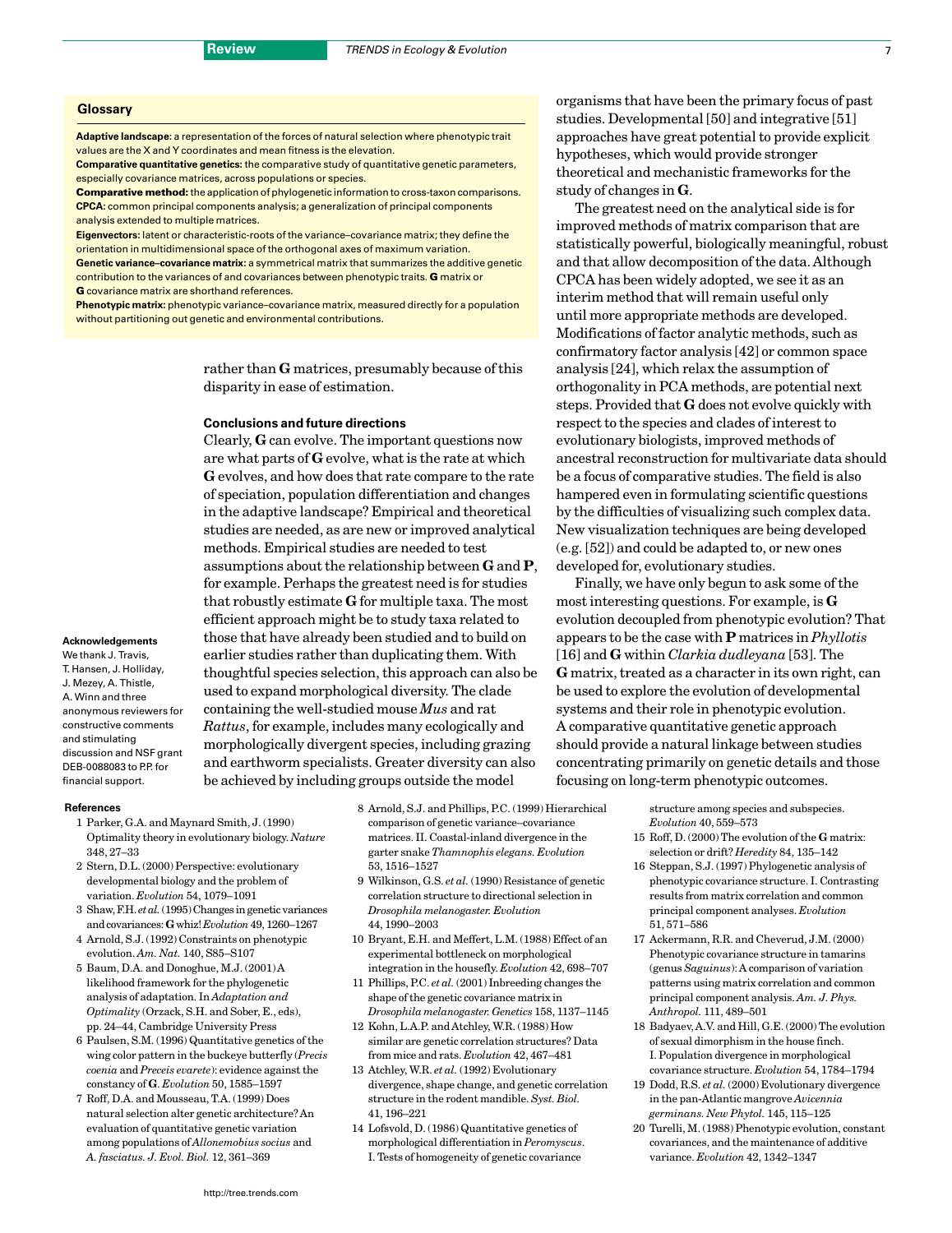#### **Glossary**

**Adaptive landscape:** a representation of the forces of natural selection where phenotypic trait values are the X and Y coordinates and mean fitness is the elevation.

**Comparative quantitative genetics:** the comparative study of quantitative genetic parameters, especially covariance matrices, across populations or species.

**Comparative method:** the application of phylogenetic information to cross-taxon comparisons. **CPCA:** common principal components analysis; a generalization of principal components analysis extended to multiple matrices.

**Eigenvectors:** latent or characteristic-roots of the variance–covariance matrix; they define the orientation in multidimensional space of the orthogonal axes of maximum variation. **Genetic variance–covariance matrix:** a symmetrical matrix that summarizes the additive genetic contribution to the variances of and covariances between phenotypic traits. **G** matrix or **G** covariance matrix are shorthand references.

**Phenotypic matrix:** phenotypic variance–covariance matrix, measured directly for a population without partitioning out genetic and environmental contributions.

> rather than **G** matrices, presumably because of this disparity in ease of estimation.

#### **Conclusions and future directions**

Clearly, **G** can evolve. The important questions now are what parts of **G** evolve, what is the rate at which **G** evolves, and how does that rate compare to the rate of speciation, population differentiation and changes in the adaptive landscape? Empirical and theoretical studies are needed, as are new or improved analytical methods. Empirical studies are needed to test assumptions about the relationship between **G** and **P**, for example. Perhaps the greatest need is for studies that robustly estimate **G** for multiple taxa. The most efficient approach might be to study taxa related to those that have already been studied and to build on earlier studies rather than duplicating them. With thoughtful species selection, this approach can also be used to expand morphological diversity. The clade containing the well-studied mouse *Mus* and rat *Rattus*, for example, includes many ecologically and morphologically divergent species, including grazing and earthworm specialists. Greater diversity can also be achieved by including groups outside the model

#### **Acknowledgements** We thank J. Travis,

T. Hansen, J. Holliday, J. Mezey, A. Thistle, A. Winn and three anonymous reviewers for constructive comments and stimulating discussion and NSF grant DEB-0088083 to P.P. for financial support.

#### **References**

- 1 Parker, G.A. and Maynard Smith, J. (1990) Optimality theory in evolutionary biology. *Nature* 348, 27–33
- 2 Stern, D.L. (2000) Perspective: evolutionary developmental biology and the problem of variation. *Evolution* 54, 1079–1091
- 3 Shaw,F.H. *etal.*(1995) Changes in genetic variances andcovariances: **G**whiz!*Evolution*49, 1260–1267
- 4 Arnold, S.J. (1992) Constraints on phenotypic evolution. *Am. Nat.* 140, S85–S107
- 5 Baum, D.A. and Donoghue, M.J. (2001)A likelihood framework for the phylogenetic analysis of adaptation. In *Adaptation and Optimality* (Orzack, S.H. and Sober, E., eds), pp. 24–44, Cambridge University Press
- 6 Paulsen, S.M. (1996) Quantitative genetics of the wing color pattern in the buckeye butterfly (*Precis coenia* and *Preceis evarete*): evidence against the constancy of **G**. *Evolution* 50, 1585–1597
- 7 Roff, D.A. and Mousseau, T.A. (1999) Does natural selection alter genetic architecture?An evaluation of quantitative genetic variation among populations of *Allonemobius socius* and *A. fasciatus. J. Evol. Biol.* 12, 361–369
- 8 Arnold, S.J. and Phillips, P.C. (1999) Hierarchical comparison of genetic variance–covariance matrices. II. Coastal-inland divergence in the garter snake *Thamnophis elegans. Evolution* 53, 1516–1527
- 9 Wilkinson, G.S. *et al.* (1990) Resistance of genetic correlation structure to directional selection in *Drosophila melanogaster. Evolution* 44, 1990–2003
- 10 Bryant, E.H. and Meffert, L.M. (1988) Effect of an experimental bottleneck on morphological integration in the housefly. *Evolution* 42, 698–707
- 11 Phillips, P.C. *et al.* (2001) Inbreeding changes the shape of the genetic covariance matrix in *Drosophila melanogaster. Genetics* 158, 1137–1145
- 12 Kohn, L.A.P. andAtchley, W.R. (1988) How similar are genetic correlation structures? Data from mice and rats. *Evolution* 42, 467–481
- 13 Atchley, W.R. *et al.* (1992) Evolutionary divergence, shape change, and genetic correlation structure in the rodent mandible. *Syst. Biol.* 41, 196–221
- 14 Lofsvold, D. (1986) Quantitative genetics of morphological differentiation in *Peromyscus*. I. Tests of homogeneity of genetic covariance

organisms that have been the primary focus of past studies. Developmental [50] and integrative [51] approaches have great potential to provide explicit hypotheses, which would provide stronger theoretical and mechanistic frameworks for the study of changes in **G**.

The greatest need on the analytical side is for improved methods of matrix comparison that are statistically powerful, biologically meaningful, robust and that allow decomposition of the data.Although CPCA has been widely adopted, we see it as an interim method that will remain useful only until more appropriate methods are developed. Modifications of factor analytic methods, such as confirmatory factor analysis [42] or common space analysis [24], which relax the assumption of orthogonality in PCA methods, are potential next steps. Provided that **G** does not evolve quickly with respect to the species and clades of interest to evolutionary biologists, improved methods of ancestral reconstruction for multivariate data should be a focus of comparative studies. The field is also hampered even in formulating scientific questions by the difficulties of visualizing such complex data. New visualization techniques are being developed (e.g. [52]) and could be adapted to, or new ones developed for, evolutionary studies.

Finally, we have only begun to ask some of the most interesting questions. For example, is **G** evolution decoupled from phenotypic evolution? That appears to be the case with **P** matrices in *Phyllotis* [16] and **G** within *Clarkia dudleyana* [53]. The **G** matrix, treated as a character in its own right, can be used to explore the evolution of developmental systems and their role in phenotypic evolution. A comparative quantitative genetic approach should provide a natural linkage between studies concentrating primarily on genetic details and those focusing on long-term phenotypic outcomes.

> structure among species and subspecies. *Evolution* 40, 559–573

- 15 Roff, D. (2000) The evolution of the **G** matrix: selection or drift? *Heredity* 84, 135–142
- 16 Steppan, S.J. (1997) Phylogenetic analysis of phenotypic covariance structure. I. Contrasting results from matrix correlation and common principal component analyses. *Evolution* 51, 571–586
- 17 Ackermann, R.R. and Cheverud, J.M. (2000) Phenotypic covariance structure in tamarins (genus *Saguinus*):A comparison of variation patterns using matrix correlation and common principal component analysis. *Am. J. Phys. Anthropol.* 111, 489–501
- 18 Badyaev,A.V. and Hill, G.E. (2000) The evolution of sexual dimorphism in the house finch. I. Population divergence in morphological covariance structure. *Evolution* 54, 1784–1794
- 19 Dodd, R.S. *et al.* (2000) Evolutionary divergence in the pan-Atlantic mangrove *Avicennia germinans. New Phytol.* 145, 115–125
- 20 Turelli, M. (1988) Phenotypic evolution, constant covariances, and the maintenance of additive variance. *Evolution* 42, 1342–1347